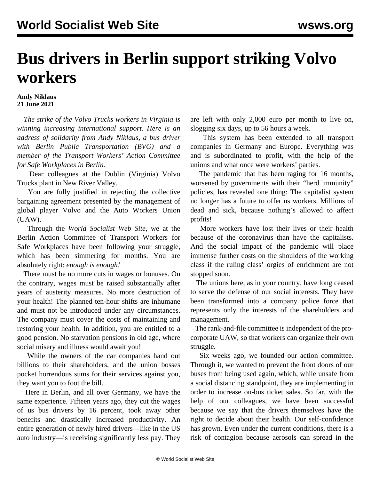## **Bus drivers in Berlin support striking Volvo workers**

## **Andy Niklaus 21 June 2021**

 *The strike of the Volvo Trucks workers in Virginia is winning increasing international support. Here is an address of solidarity from Andy Niklaus, a bus driver with Berlin Public Transportation (BVG) and a member of the [Transport Workers' Action Committee](https://www.facebook.com/groups/175887764403147) [for Safe Workplaces](https://www.facebook.com/groups/175887764403147) in Berlin.*

 Dear colleagues at the Dublin (Virginia) Volvo Trucks plant in New River Valley,

 You are fully justified in rejecting the collective bargaining agreement presented by the management of global player Volvo and the Auto Workers Union (UAW).

 Through the *World Socialist Web Site*, we at the Berlin Action Committee of Transport Workers for Safe Workplaces have been following your struggle, which has been simmering for months. You are absolutely right: *enough is enough!*

 There must be no more cuts in wages or bonuses. On the contrary, wages must be raised substantially after years of austerity measures. No more destruction of your health! The planned ten-hour shifts are inhumane and must not be introduced under any circumstances. The company must cover the costs of maintaining and restoring your health. In addition, you are entitled to a good pension. No starvation pensions in old age, where social misery and illness would await you!

 While the owners of the car companies hand out billions to their shareholders, and the union bosses pocket horrendous sums for their services against you, they want you to foot the bill.

 Here in Berlin, and all over Germany, we have the same experience. Fifteen years ago, they cut the wages of us bus drivers by 16 percent, took away other benefits and drastically increased productivity. An entire generation of newly hired drivers—like in the US auto industry—is receiving significantly less pay. They are left with only 2,000 euro per month to live on, slogging six days, up to 56 hours a week.

 This system has been extended to all transport companies in Germany and Europe. Everything was and is subordinated to profit, with the help of the unions and what once were workers' parties.

 The pandemic that has been raging for 16 months, worsened by governments with their "herd immunity" policies, has revealed one thing: The capitalist system no longer has a future to offer us workers. Millions of dead and sick, because nothing's allowed to affect profits!

 More workers have lost their lives or their health because of the coronavirus than have the capitalists. And the social impact of the pandemic will place immense further costs on the shoulders of the working class if the ruling class' orgies of enrichment are not stopped soon.

 The unions here, as in your country, have long ceased to serve the defense of our social interests. They have been transformed into a company police force that represents only the interests of the shareholders and management.

 The rank-and-file committee is independent of the procorporate UAW, so that workers can organize their own struggle.

 Six weeks ago, we founded our action committee. Through it, we wanted to prevent the front doors of our buses from being used again, which, while unsafe from a social distancing standpoint, they are implementing in order to increase on-bus ticket sales. So far, with the help of our colleagues, we have been successful because we say that the drivers themselves have the right to decide about their health. Our self-confidence has grown. Even under the current conditions, there is a risk of contagion because aerosols can spread in the